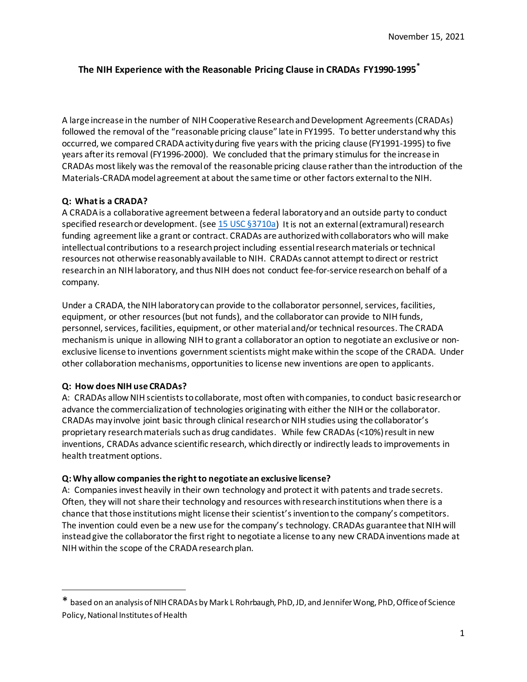# **The NIH Experience with the Reasonable Pricing Clause in CRADAs FY1990-1995[\\*](#page-0-0)**

A large increase in the number of NIH Cooperative Research and Development Agreements (CRADAs) followed the removal of the "reasonable pricing clause" late in FY1995. To better understand why this occurred, we compared CRADA activity during five years with the pricing clause (FY1991-1995) to five years after its removal (FY1996-2000). We concluded that the primary stimulus for the increase in CRADAs mostlikely wasthe removal of the reasonable pricing clause rather than the introduction of the Materials-CRADA model agreement at about the same time or other factors external to the NIH.

## **Q: What is a CRADA?**

A CRADA is a collaborative agreement between a federal laboratory and an outside party to conduct specified research or development. (se[e 15 USC §3710a\)](https://www.law.cornell.edu/uscode/text/15/3710a) It is not an external (extramural) research funding agreement like a grant or contract. CRADAs are authorized with collaborators who will make intellectual contributions to a research project including essential research materials or technical resources not otherwise reasonably available to NIH. CRADAs cannot attempt to direct or restrict research in an NIH laboratory, and thus NIH does not conduct fee-for-service research on behalf of a company.

Under a CRADA, the NIH laboratory can provide to the collaborator personnel, services, facilities, equipment, or other resources (but not funds), and the collaborator can provide to NIH funds, personnel, services, facilities, equipment, or other material and/or technical resources. The CRADA mechanism is unique in allowing NIH to grant a collaborator an option to negotiate an exclusive or nonexclusive license to inventions government scientists might make within the scope of the CRADA. Under other collaboration mechanisms, opportunities to license new inventions are open to applicants.

## **Q: How does NIH use CRADAs?**

A: CRADAs allow NIH scientists to collaborate, most often with companies, to conduct basic research or advance the commercialization of technologies originating with either the NIH or the collaborator. CRADAs may involve joint basic through clinical research or NIH studies using the collaborator's proprietary research materials such as drug candidates. While few CRADAs (<10%) result in new inventions, CRADAs advance scientific research, which directly or indirectly leads to improvements in health treatment options.

## **Q: Why allow companies the right to negotiate an exclusive license?**

A: Companies invest heavily in their own technology and protect it with patents and trade secrets. Often, they will not share their technology and resources with researchinstitutions when there is a chance that those institutions might license their scientist's invention to the company's competitors. The invention could even be a new use for the company's technology. CRADAs guarantee that NIH will instead give the collaborator the first right to negotiate a license to any new CRADA inventions made at NIH within the scope of the CRADA research plan.

<span id="page-0-0"></span><sup>\*</sup> based on an analysis of NIH CRADAs by Mark L Rohrbaugh, PhD, JD, and Jennifer Wong, PhD, Office of Science Policy, National Institutes of Health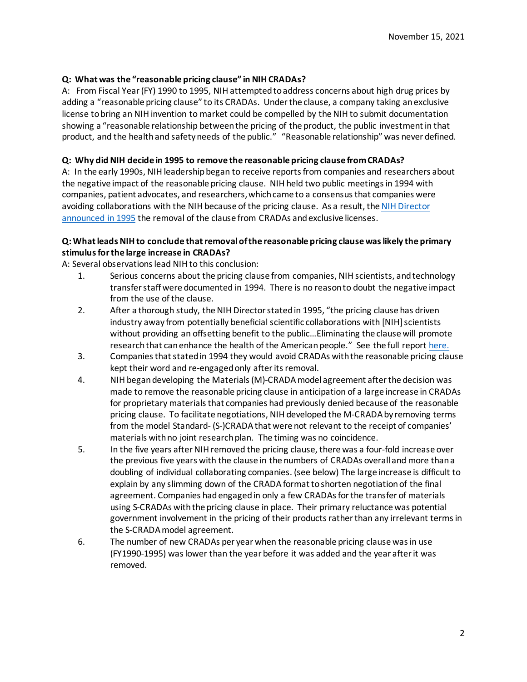## **Q: What was the "reasonable pricing clause" in NIH CRADAs?**

A: From Fiscal Year (FY) 1990 to 1995, NIH attempted to address concerns about high drug prices by adding a "reasonable pricing clause" to its CRADAs. Under the clause, a company taking an exclusive license tobring an NIH invention to market could be compelled by the NIH to submit documentation showing a "reasonable relationship between the pricing of the product, the public investment in that product, and the health and safety needs of the public." "Reasonable relationship" was never defined.

#### **Q: Why did NIH decide in 1995 to remove the reasonable pricing clause from CRADAs?**

A: In the early 1990s, NIH leadership began to receive reports from companies and researchers about the negative impact of the reasonable pricing clause. NIH held two public meetings in 1994 with companies, patient advocates, and researchers, which came to a consensus that companies were avoiding collaborations with the NIH because of the pricing clause. As a result, th[e NIH Director](https://ott.nih.gov/sites/default/files/documents/pdfs/NIH-Notice-Rescinding-Reasonable-Pricing-Clause.pdf)  [announced](https://ott.nih.gov/sites/default/files/documents/pdfs/NIH-Notice-Rescinding-Reasonable-Pricing-Clause.pdf) in 1995 the removal of the clause from CRADAs and exclusive licenses.

### **Q: What leads NIH to conclude that removal of the reasonable pricing clause was likely the primary stimulus for the large increase in CRADAs?**

A: Several observations lead NIH to this conclusion:

- 1. Serious concerns about the pricing clause from companies, NIH scientists, and technology transfer staff were documented in 1994. There is no reason to doubt the negative impact from the use of the clause.
- 2. After a thorough study, the NIH Director stated in 1995, "the pricing clause has driven industry away from potentially beneficial scientific collaborations with [NIH] scientists without providing an offsetting benefit to the public…Eliminating the clause will promote research that can enhance the health of the American people." See the full report [here.](https://ott.nih.gov/sites/default/files/documents/pdfs/NIH-Notice-Rescinding-Reasonable-Pricing-Clause.pdf)
- 3. Companies that stated in 1994 they would avoid CRADAs with the reasonable pricing clause kept their word and re-engagedonly after its removal.
- 4. NIH begandeveloping the Materials(M)-CRADA model agreement afterthe decision was made to remove the reasonable pricing clause in anticipation of a large increase in CRADAs for proprietary materials that companies had previously denied because of the reasonable pricing clause. To facilitate negotiations, NIH developed the M-CRADA by removing terms from the model Standard- (S-)CRADA that were not relevant to the receipt of companies' materials with no joint research plan. The timing was no coincidence.
- 5. In the five years after NIH removed the pricing clause, there was a four-fold increase over the previous five years with the clause in the numbers of CRADAs overall and more than a doubling of individual collaborating companies. (see below) The large increase is difficult to explain by any slimming down of the CRADA format toshorten negotiationof the final agreement. Companies had engaged in only a few CRADAs for the transfer of materials using S-CRADAs with the pricing clause in place. Their primary reluctance was potential government involvement in the pricing of their products rather than any irrelevant terms in the S-CRADA model agreement.
- 6. The number of new CRADAs per year when the reasonable pricing clause was in use (FY1990-1995) was lower than the year before it was added and the year after it was removed.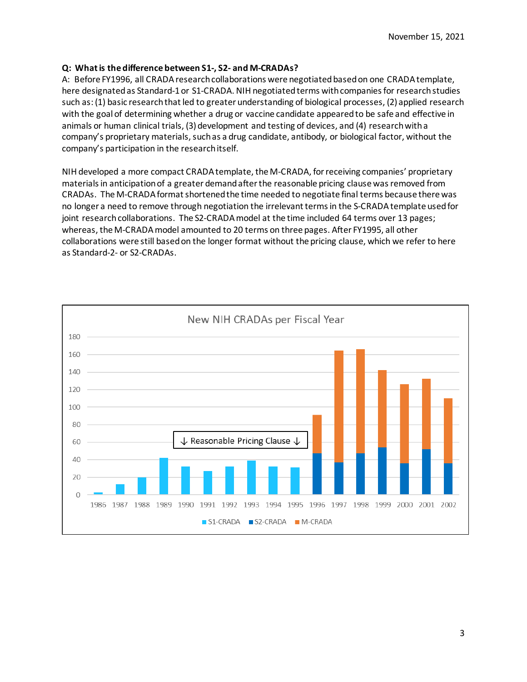## **Q: What is the difference between S1-, S2- and M-CRADAs?**

A: Before FY1996, all CRADA research collaborations were negotiated based on one CRADA template, here designated as Standard-1 or S1-CRADA. NIH negotiated terms with companies for research studies such as: (1) basic research that led to greater understanding of biological processes, (2) applied research with the goal of determining whether a drug or vaccine candidate appeared to be safe and effective in animals or human clinical trials, (3) development and testing of devices, and (4) research with a company's proprietary materials, such as a drug candidate, antibody, or biological factor, without the company's participation in the research itself.

NIH developed a more compact CRADA template, the M-CRADA, for receiving companies' proprietary materials in anticipation of a greater demand after the reasonable pricing clause was removed from CRADAs. The M-CRADA format shortened the time needed to negotiate final terms because there was no longer a need to remove through negotiation the irrelevant terms in the S-CRADA template used for joint research collaborations. The S2-CRADA model at the time included 64 terms over 13 pages; whereas, the M-CRADA model amounted to 20 terms on three pages. After FY1995, all other collaborations were still based on the longer format without the pricing clause, which we refer to here as Standard-2- or S2-CRADAs.